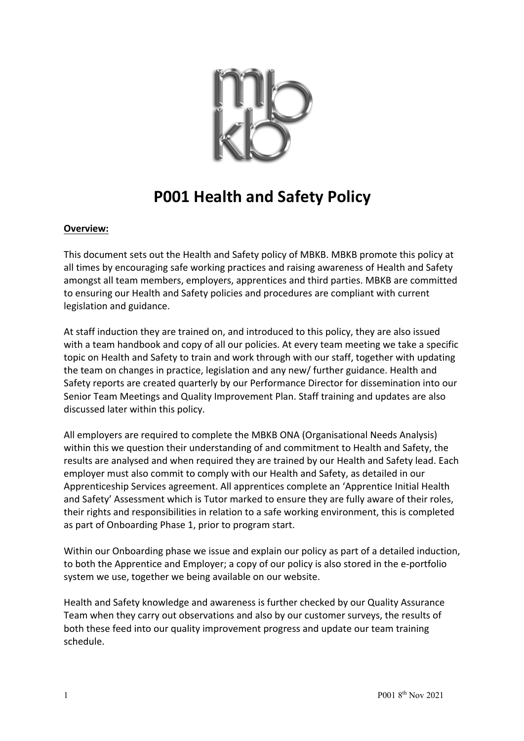

# **P001 Health and Safety Policy**

#### **Overview:**

This document sets out the Health and Safety policy of MBKB. MBKB promote this policy at all times by encouraging safe working practices and raising awareness of Health and Safety amongst all team members, employers, apprentices and third parties. MBKB are committed to ensuring our Health and Safety policies and procedures are compliant with current legislation and guidance.

At staff induction they are trained on, and introduced to this policy, they are also issued with a team handbook and copy of all our policies. At every team meeting we take a specific topic on Health and Safety to train and work through with our staff, together with updating the team on changes in practice, legislation and any new/ further guidance. Health and Safety reports are created quarterly by our Performance Director for dissemination into our Senior Team Meetings and Quality Improvement Plan. Staff training and updates are also discussed later within this policy.

All employers are required to complete the MBKB ONA (Organisational Needs Analysis) within this we question their understanding of and commitment to Health and Safety, the results are analysed and when required they are trained by our Health and Safety lead. Each employer must also commit to comply with our Health and Safety, as detailed in our Apprenticeship Services agreement. All apprentices complete an 'Apprentice Initial Health and Safety' Assessment which is Tutor marked to ensure they are fully aware of their roles, their rights and responsibilities in relation to a safe working environment, this is completed as part of Onboarding Phase 1, prior to program start.

Within our Onboarding phase we issue and explain our policy as part of a detailed induction, to both the Apprentice and Employer; a copy of our policy is also stored in the e-portfolio system we use, together we being available on our website.

Health and Safety knowledge and awareness is further checked by our Quality Assurance Team when they carry out observations and also by our customer surveys, the results of both these feed into our quality improvement progress and update our team training schedule.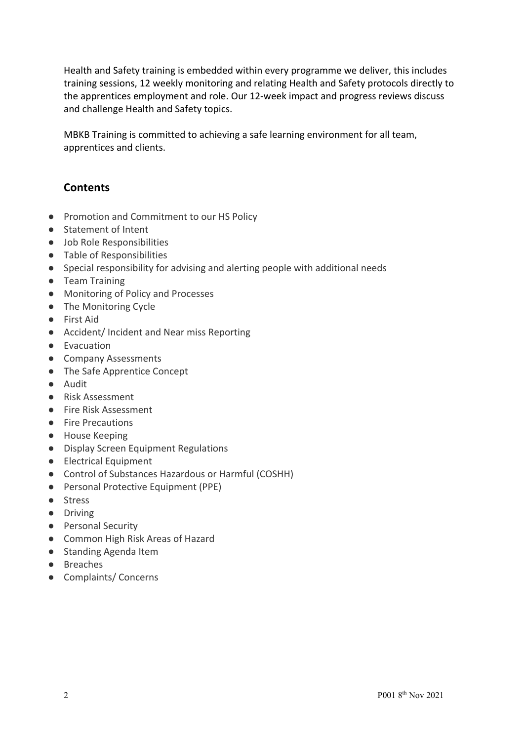Health and Safety training is embedded within every programme we deliver, this includes training sessions, 12 weekly monitoring and relating Health and Safety protocols directly to the apprentices employment and role. Our 12-week impact and progress reviews discuss and challenge Health and Safety topics.

MBKB Training is committed to achieving a safe learning environment for all team, apprentices and clients.

# **Contents**

- Promotion and Commitment to our HS Policy
- Statement of Intent
- Job Role Responsibilities
- Table of Responsibilities
- Special responsibility for advising and alerting people with additional needs
- Team Training
- Monitoring of Policy and Processes
- The Monitoring Cycle
- First Aid
- Accident/ Incident and Near miss Reporting
- Evacuation
- Company Assessments
- The Safe Apprentice Concept
- Audit
- Risk Assessment
- Fire Risk Assessment
- Fire Precautions
- House Keeping
- Display Screen Equipment Regulations
- Electrical Equipment
- Control of Substances Hazardous or Harmful (COSHH)
- Personal Protective Equipment (PPE)
- Stress
- Driving
- Personal Security
- Common High Risk Areas of Hazard
- Standing Agenda Item
- Breaches
- Complaints/ Concerns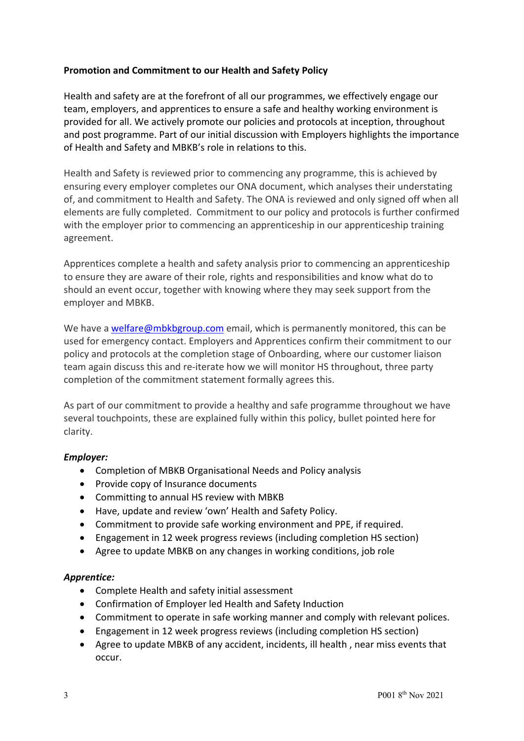## **Promotion and Commitment to our Health and Safety Policy**

Health and safety are at the forefront of all our programmes, we effectively engage our team, employers, and apprentices to ensure a safe and healthy working environment is provided for all. We actively promote our policies and protocols at inception, throughout and post programme. Part of our initial discussion with Employers highlights the importance of Health and Safety and MBKB's role in relations to this.

Health and Safety is reviewed prior to commencing any programme, this is achieved by ensuring every employer completes our ONA document, which analyses their understating of, and commitment to Health and Safety. The ONA is reviewed and only signed off when all elements are fully completed. Commitment to our policy and protocols is further confirmed with the employer prior to commencing an apprenticeship in our apprenticeship training agreement.

Apprentices complete a health and safety analysis prior to commencing an apprenticeship to ensure they are aware of their role, rights and responsibilities and know what do to should an event occur, together with knowing where they may seek support from the employer and MBKB.

We have a welfare@mbkbgroup.com email, which is permanently monitored, this can be used for emergency contact. Employers and Apprentices confirm their commitment to our policy and protocols at the completion stage of Onboarding, where our customer liaison team again discuss this and re-iterate how we will monitor HS throughout, three party completion of the commitment statement formally agrees this.

As part of our commitment to provide a healthy and safe programme throughout we have several touchpoints, these are explained fully within this policy, bullet pointed here for clarity.

# *Employer:*

- Completion of MBKB Organisational Needs and Policy analysis
- Provide copy of Insurance documents
- Committing to annual HS review with MBKB
- Have, update and review 'own' Health and Safety Policy.
- Commitment to provide safe working environment and PPE, if required.
- Engagement in 12 week progress reviews (including completion HS section)
- Agree to update MBKB on any changes in working conditions, job role

# *Apprentice:*

- Complete Health and safety initial assessment
- Confirmation of Employer led Health and Safety Induction
- Commitment to operate in safe working manner and comply with relevant polices.
- Engagement in 12 week progress reviews (including completion HS section)
- Agree to update MBKB of any accident, incidents, ill health , near miss events that occur.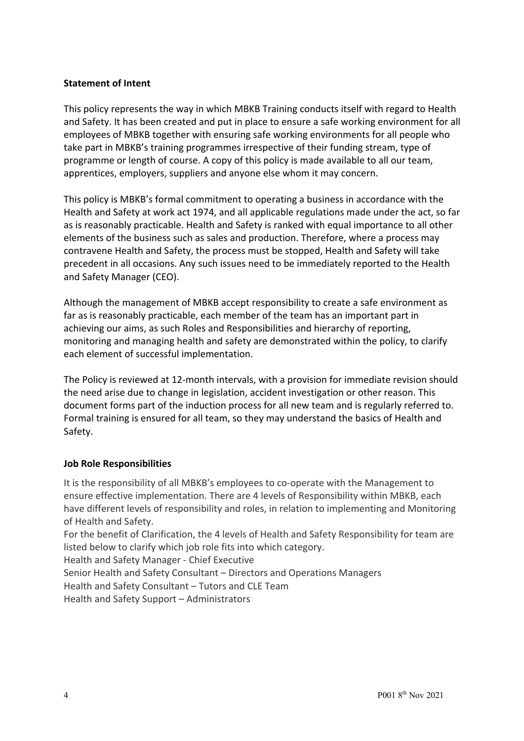#### **Statement of Intent**

This policy represents the way in which MBKB Training conducts itself with regard to Health and Safety. It has been created and put in place to ensure a safe working environment for all employees of MBKB together with ensuring safe working environments for all people who take part in MBKB's training programmes irrespective of their funding stream, type of programme or length of course. A copy of this policy is made available to all our team, apprentices, employers, suppliers and anyone else whom it may concern.

This policy is MBKB's formal commitment to operating a business in accordance with the Health and Safety at work act 1974, and all applicable regulations made under the act, so far as is reasonably practicable. Health and Safety is ranked with equal importance to all other elements of the business such as sales and production. Therefore, where a process may contravene Health and Safety, the process must be stopped, Health and Safety will take precedent in all occasions. Any such issues need to be immediately reported to the Health and Safety Manager (CEO).

Although the management of MBKB accept responsibility to create a safe environment as far as is reasonably practicable, each member of the team has an important part in achieving our aims, as such Roles and Responsibilities and hierarchy of reporting, monitoring and managing health and safety are demonstrated within the policy, to clarify each element of successful implementation.

The Policy is reviewed at 12-month intervals, with a provision for immediate revision should the need arise due to change in legislation, accident investigation or other reason. This document forms part of the induction process for all new team and is regularly referred to. Formal training is ensured for all team, so they may understand the basics of Health and Safety.

#### **Job Role Responsibilities**

It is the responsibility of all MBKB's employees to co-operate with the Management to ensure effective implementation. There are 4 levels of Responsibility within MBKB, each have different levels of responsibility and roles, in relation to implementing and Monitoring of Health and Safety.

For the benefit of Clarification, the 4 levels of Health and Safety Responsibility for team are listed below to clarify which job role fits into which category.

Health and Safety Manager - Chief Executive

Senior Health and Safety Consultant – Directors and Operations Managers

Health and Safety Consultant – Tutors and CLE Team

Health and Safety Support – Administrators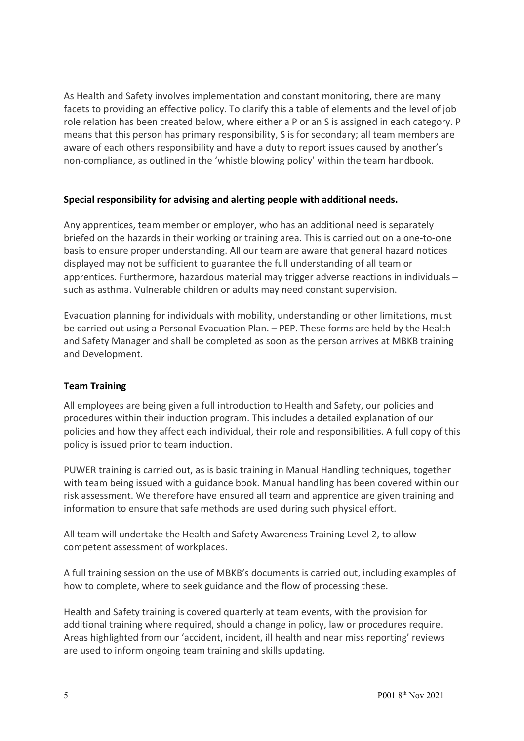As Health and Safety involves implementation and constant monitoring, there are many facets to providing an effective policy. To clarify this a table of elements and the level of job role relation has been created below, where either a P or an S is assigned in each category. P means that this person has primary responsibility, S is for secondary; all team members are aware of each others responsibility and have a duty to report issues caused by another's non-compliance, as outlined in the 'whistle blowing policy' within the team handbook.

# **Special responsibility for advising and alerting people with additional needs.**

Any apprentices, team member or employer, who has an additional need is separately briefed on the hazards in their working or training area. This is carried out on a one-to-one basis to ensure proper understanding. All our team are aware that general hazard notices displayed may not be sufficient to guarantee the full understanding of all team or apprentices. Furthermore, hazardous material may trigger adverse reactions in individuals – such as asthma. Vulnerable children or adults may need constant supervision.

Evacuation planning for individuals with mobility, understanding or other limitations, must be carried out using a Personal Evacuation Plan. – PEP. These forms are held by the Health and Safety Manager and shall be completed as soon as the person arrives at MBKB training and Development.

# **Team Training**

All employees are being given a full introduction to Health and Safety, our policies and procedures within their induction program. This includes a detailed explanation of our policies and how they affect each individual, their role and responsibilities. A full copy of this policy is issued prior to team induction.

PUWER training is carried out, as is basic training in Manual Handling techniques, together with team being issued with a guidance book. Manual handling has been covered within our risk assessment. We therefore have ensured all team and apprentice are given training and information to ensure that safe methods are used during such physical effort.

All team will undertake the Health and Safety Awareness Training Level 2, to allow competent assessment of workplaces.

A full training session on the use of MBKB's documents is carried out, including examples of how to complete, where to seek guidance and the flow of processing these.

Health and Safety training is covered quarterly at team events, with the provision for additional training where required, should a change in policy, law or procedures require. Areas highlighted from our 'accident, incident, ill health and near miss reporting' reviews are used to inform ongoing team training and skills updating.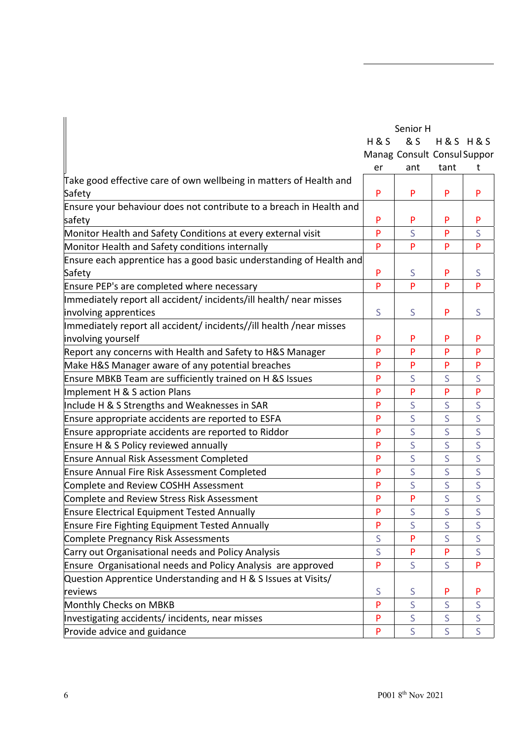|                                                                     | Senior H |                             |                         |                        |
|---------------------------------------------------------------------|----------|-----------------------------|-------------------------|------------------------|
|                                                                     | H & S    | & S                         |                         | <b>H&amp;S H&amp;S</b> |
|                                                                     |          | Manag Consult Consul Suppor |                         |                        |
|                                                                     | er       | ant                         | tant                    | t                      |
| Take good effective care of own wellbeing in matters of Health and  |          |                             |                         |                        |
| Safety                                                              | P        | P                           | P                       | P                      |
| Ensure your behaviour does not contribute to a breach in Health and |          |                             |                         |                        |
| safety                                                              | P        | P                           | P                       | P                      |
| Monitor Health and Safety Conditions at every external visit        | P        | S                           | P                       | S                      |
| Monitor Health and Safety conditions internally                     | P        | P                           | P                       | P                      |
| Ensure each apprentice has a good basic understanding of Health and |          |                             |                         |                        |
| Safety                                                              | P        | S                           | P                       | S                      |
| Ensure PEP's are completed where necessary                          | P        | P                           | P                       | P                      |
| Immediately report all accident/incidents/ill health/ near misses   |          |                             |                         |                        |
| involving apprentices                                               | S        | S                           | P                       | S                      |
| Immediately report all accident/ incidents//ill health /near misses |          |                             |                         |                        |
| involving yourself                                                  | P        | P                           | P                       | P                      |
| Report any concerns with Health and Safety to H&S Manager           | P        | P                           | P                       | P                      |
| Make H&S Manager aware of any potential breaches                    | P        | P                           | P                       | P                      |
| Ensure MBKB Team are sufficiently trained on H &S Issues            | P        | S                           | S                       | S                      |
| Implement H & S action Plans                                        | P        | P                           | P                       | P                      |
| Include H & S Strengths and Weaknesses in SAR                       | P        | S                           | S                       | S                      |
| Ensure appropriate accidents are reported to ESFA                   | P        | S                           | S                       | S                      |
| Ensure appropriate accidents are reported to Riddor                 | P        | S                           | $\mathsf S$             | S                      |
| Ensure H & S Policy reviewed annually                               | P        | S                           | S                       | S                      |
| <b>Ensure Annual Risk Assessment Completed</b>                      | P        | S                           | $\overline{\mathsf{S}}$ | $\overline{S}$         |
| <b>Ensure Annual Fire Risk Assessment Completed</b>                 | P        | S                           | $\overline{S}$          | S                      |
| Complete and Review COSHH Assessment                                | P        | S                           | S                       | S                      |
| Complete and Review Stress Risk Assessment                          | P        | P                           | Ś                       | $\mathsf S$            |
| <b>Ensure Electrical Equipment Tested Annually</b>                  | P        | S                           | S                       | S                      |
| Ensure Fire Fighting Equipment Tested Annually                      | P        | S                           | S                       | S                      |
| Complete Pregnancy Risk Assessments                                 | S        | P                           | S                       | S                      |
| Carry out Organisational needs and Policy Analysis                  | $\sf S$  | P                           | P                       | S                      |
| Ensure Organisational needs and Policy Analysis are approved        | P        | S                           | S                       | P                      |
| Question Apprentice Understanding and H & S Issues at Visits/       |          |                             |                         |                        |
| reviews                                                             | S        | S                           | P                       | P                      |
| Monthly Checks on MBKB                                              | P        | S                           | S                       | S                      |
| Investigating accidents/incidents, near misses                      | P        | S                           | S                       | S                      |
| Provide advice and guidance                                         | P        | S                           | S                       | S                      |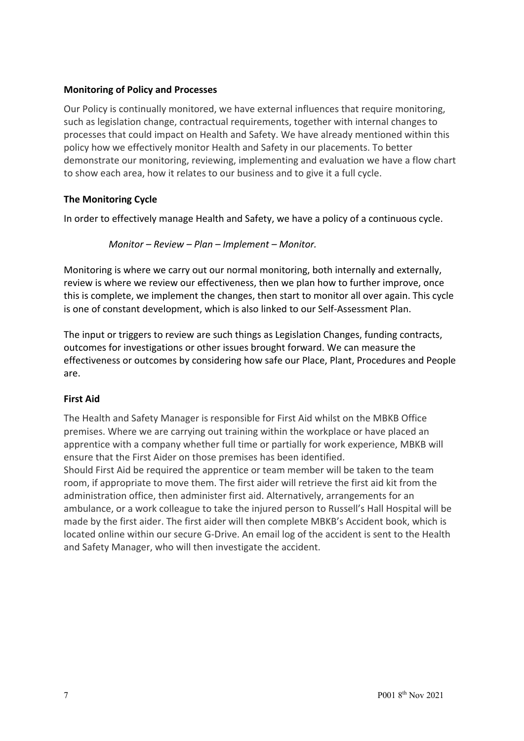# **Monitoring of Policy and Processes**

Our Policy is continually monitored, we have external influences that require monitoring, such as legislation change, contractual requirements, together with internal changes to processes that could impact on Health and Safety. We have already mentioned within this policy how we effectively monitor Health and Safety in our placements. To better demonstrate our monitoring, reviewing, implementing and evaluation we have a flow chart to show each area, how it relates to our business and to give it a full cycle.

# **The Monitoring Cycle**

In order to effectively manage Health and Safety, we have a policy of a continuous cycle.

*Monitor – Review – Plan – Implement – Monitor.*

Monitoring is where we carry out our normal monitoring, both internally and externally, review is where we review our effectiveness, then we plan how to further improve, once this is complete, we implement the changes, then start to monitor all over again. This cycle is one of constant development, which is also linked to our Self-Assessment Plan.

The input or triggers to review are such things as Legislation Changes, funding contracts, outcomes for investigations or other issues brought forward. We can measure the effectiveness or outcomes by considering how safe our Place, Plant, Procedures and People are.

# **First Aid**

The Health and Safety Manager is responsible for First Aid whilst on the MBKB Office premises. Where we are carrying out training within the workplace or have placed an apprentice with a company whether full time or partially for work experience, MBKB will ensure that the First Aider on those premises has been identified.

Should First Aid be required the apprentice or team member will be taken to the team room, if appropriate to move them. The first aider will retrieve the first aid kit from the administration office, then administer first aid. Alternatively, arrangements for an ambulance, or a work colleague to take the injured person to Russell's Hall Hospital will be made by the first aider. The first aider will then complete MBKB's Accident book, which is located online within our secure G-Drive. An email log of the accident is sent to the Health and Safety Manager, who will then investigate the accident.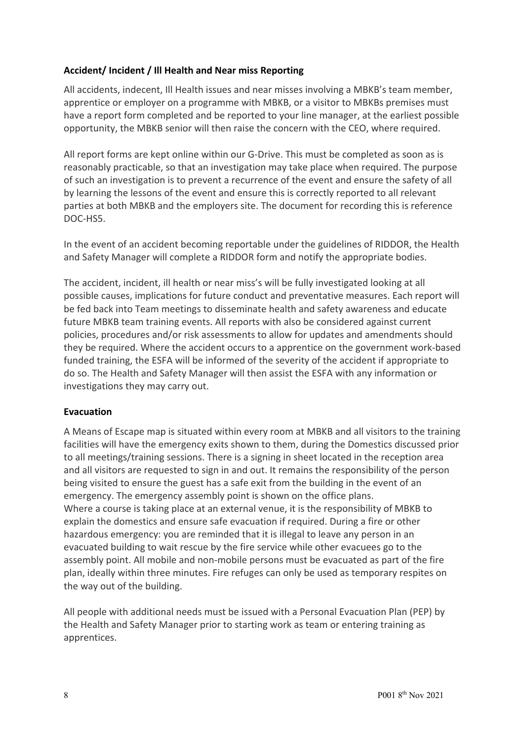## **Accident/ Incident / Ill Health and Near miss Reporting**

All accidents, indecent, Ill Health issues and near misses involving a MBKB's team member, apprentice or employer on a programme with MBKB, or a visitor to MBKBs premises must have a report form completed and be reported to your line manager, at the earliest possible opportunity, the MBKB senior will then raise the concern with the CEO, where required.

All report forms are kept online within our G-Drive. This must be completed as soon as is reasonably practicable, so that an investigation may take place when required. The purpose of such an investigation is to prevent a recurrence of the event and ensure the safety of all by learning the lessons of the event and ensure this is correctly reported to all relevant parties at both MBKB and the employers site. The document for recording this is reference DOC-HS5.

In the event of an accident becoming reportable under the guidelines of RIDDOR, the Health and Safety Manager will complete a RIDDOR form and notify the appropriate bodies.

The accident, incident, ill health or near miss's will be fully investigated looking at all possible causes, implications for future conduct and preventative measures. Each report will be fed back into Team meetings to disseminate health and safety awareness and educate future MBKB team training events. All reports with also be considered against current policies, procedures and/or risk assessments to allow for updates and amendments should they be required. Where the accident occurs to a apprentice on the government work-based funded training, the ESFA will be informed of the severity of the accident if appropriate to do so. The Health and Safety Manager will then assist the ESFA with any information or investigations they may carry out.

#### **Evacuation**

A Means of Escape map is situated within every room at MBKB and all visitors to the training facilities will have the emergency exits shown to them, during the Domestics discussed prior to all meetings/training sessions. There is a signing in sheet located in the reception area and all visitors are requested to sign in and out. It remains the responsibility of the person being visited to ensure the guest has a safe exit from the building in the event of an emergency. The emergency assembly point is shown on the office plans. Where a course is taking place at an external venue, it is the responsibility of MBKB to explain the domestics and ensure safe evacuation if required. During a fire or other hazardous emergency: you are reminded that it is illegal to leave any person in an evacuated building to wait rescue by the fire service while other evacuees go to the assembly point. All mobile and non-mobile persons must be evacuated as part of the fire plan, ideally within three minutes. Fire refuges can only be used as temporary respites on the way out of the building.

All people with additional needs must be issued with a Personal Evacuation Plan (PEP) by the Health and Safety Manager prior to starting work as team or entering training as apprentices.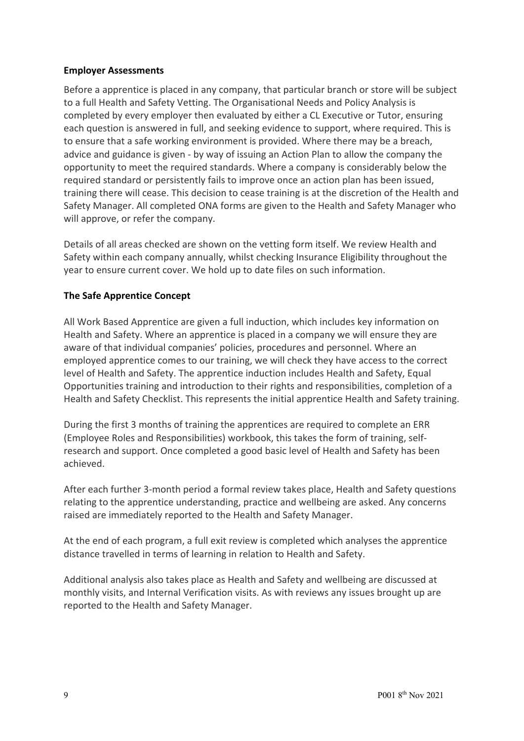#### **Employer Assessments**

Before a apprentice is placed in any company, that particular branch or store will be subject to a full Health and Safety Vetting. The Organisational Needs and Policy Analysis is completed by every employer then evaluated by either a CL Executive or Tutor, ensuring each question is answered in full, and seeking evidence to support, where required. This is to ensure that a safe working environment is provided. Where there may be a breach, advice and guidance is given - by way of issuing an Action Plan to allow the company the opportunity to meet the required standards. Where a company is considerably below the required standard or persistently fails to improve once an action plan has been issued, training there will cease. This decision to cease training is at the discretion of the Health and Safety Manager. All completed ONA forms are given to the Health and Safety Manager who will approve, or refer the company.

Details of all areas checked are shown on the vetting form itself. We review Health and Safety within each company annually, whilst checking Insurance Eligibility throughout the year to ensure current cover. We hold up to date files on such information.

# **The Safe Apprentice Concept**

All Work Based Apprentice are given a full induction, which includes key information on Health and Safety. Where an apprentice is placed in a company we will ensure they are aware of that individual companies' policies, procedures and personnel. Where an employed apprentice comes to our training, we will check they have access to the correct level of Health and Safety. The apprentice induction includes Health and Safety, Equal Opportunities training and introduction to their rights and responsibilities, completion of a Health and Safety Checklist. This represents the initial apprentice Health and Safety training.

During the first 3 months of training the apprentices are required to complete an ERR (Employee Roles and Responsibilities) workbook, this takes the form of training, selfresearch and support. Once completed a good basic level of Health and Safety has been achieved.

After each further 3-month period a formal review takes place, Health and Safety questions relating to the apprentice understanding, practice and wellbeing are asked. Any concerns raised are immediately reported to the Health and Safety Manager.

At the end of each program, a full exit review is completed which analyses the apprentice distance travelled in terms of learning in relation to Health and Safety.

Additional analysis also takes place as Health and Safety and wellbeing are discussed at monthly visits, and Internal Verification visits. As with reviews any issues brought up are reported to the Health and Safety Manager.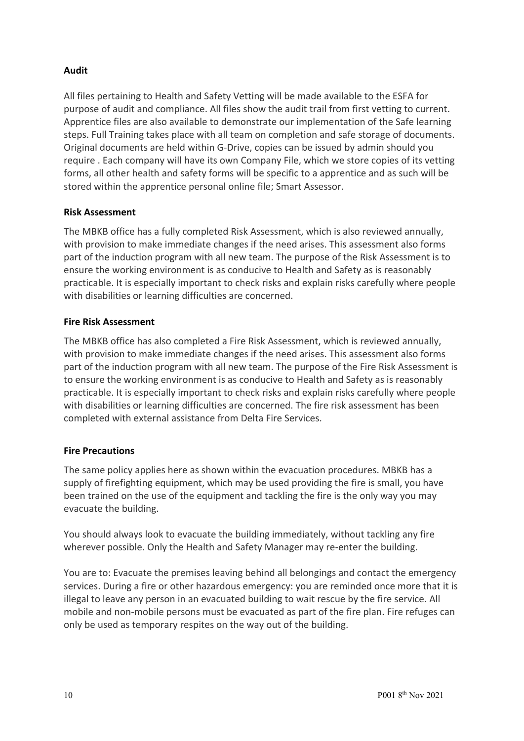# **Audit**

All files pertaining to Health and Safety Vetting will be made available to the ESFA for purpose of audit and compliance. All files show the audit trail from first vetting to current. Apprentice files are also available to demonstrate our implementation of the Safe learning steps. Full Training takes place with all team on completion and safe storage of documents. Original documents are held within G-Drive, copies can be issued by admin should you require . Each company will have its own Company File, which we store copies of its vetting forms, all other health and safety forms will be specific to a apprentice and as such will be stored within the apprentice personal online file; Smart Assessor.

#### **Risk Assessment**

The MBKB office has a fully completed Risk Assessment, which is also reviewed annually, with provision to make immediate changes if the need arises. This assessment also forms part of the induction program with all new team. The purpose of the Risk Assessment is to ensure the working environment is as conducive to Health and Safety as is reasonably practicable. It is especially important to check risks and explain risks carefully where people with disabilities or learning difficulties are concerned.

#### **Fire Risk Assessment**

The MBKB office has also completed a Fire Risk Assessment, which is reviewed annually, with provision to make immediate changes if the need arises. This assessment also forms part of the induction program with all new team. The purpose of the Fire Risk Assessment is to ensure the working environment is as conducive to Health and Safety as is reasonably practicable. It is especially important to check risks and explain risks carefully where people with disabilities or learning difficulties are concerned. The fire risk assessment has been completed with external assistance from Delta Fire Services.

# **Fire Precautions**

The same policy applies here as shown within the evacuation procedures. MBKB has a supply of firefighting equipment, which may be used providing the fire is small, you have been trained on the use of the equipment and tackling the fire is the only way you may evacuate the building.

You should always look to evacuate the building immediately, without tackling any fire wherever possible. Only the Health and Safety Manager may re-enter the building.

You are to: Evacuate the premises leaving behind all belongings and contact the emergency services. During a fire or other hazardous emergency: you are reminded once more that it is illegal to leave any person in an evacuated building to wait rescue by the fire service. All mobile and non-mobile persons must be evacuated as part of the fire plan. Fire refuges can only be used as temporary respites on the way out of the building.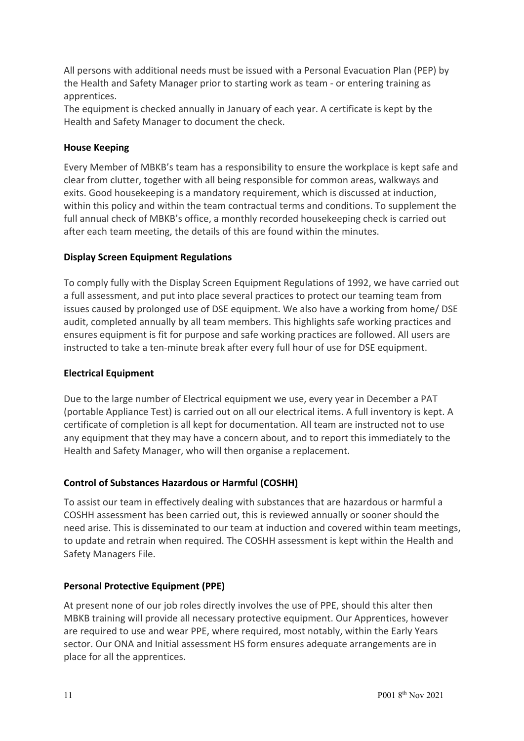All persons with additional needs must be issued with a Personal Evacuation Plan (PEP) by the Health and Safety Manager prior to starting work as team - or entering training as apprentices.

The equipment is checked annually in January of each year. A certificate is kept by the Health and Safety Manager to document the check.

# **House Keeping**

Every Member of MBKB's team has a responsibility to ensure the workplace is kept safe and clear from clutter, together with all being responsible for common areas, walkways and exits. Good housekeeping is a mandatory requirement, which is discussed at induction, within this policy and within the team contractual terms and conditions. To supplement the full annual check of MBKB's office, a monthly recorded housekeeping check is carried out after each team meeting, the details of this are found within the minutes.

#### **Display Screen Equipment Regulations**

To comply fully with the Display Screen Equipment Regulations of 1992, we have carried out a full assessment, and put into place several practices to protect our teaming team from issues caused by prolonged use of DSE equipment. We also have a working from home/ DSE audit, completed annually by all team members. This highlights safe working practices and ensures equipment is fit for purpose and safe working practices are followed. All users are instructed to take a ten-minute break after every full hour of use for DSE equipment.

#### **Electrical Equipment**

Due to the large number of Electrical equipment we use, every year in December a PAT (portable Appliance Test) is carried out on all our electrical items. A full inventory is kept. A certificate of completion is all kept for documentation. All team are instructed not to use any equipment that they may have a concern about, and to report this immediately to the Health and Safety Manager, who will then organise a replacement.

# **Control of Substances Hazardous or Harmful (COSHH)**

To assist our team in effectively dealing with substances that are hazardous or harmful a COSHH assessment has been carried out, this is reviewed annually or sooner should the need arise. This is disseminated to our team at induction and covered within team meetings, to update and retrain when required. The COSHH assessment is kept within the Health and Safety Managers File.

#### **Personal Protective Equipment (PPE)**

At present none of our job roles directly involves the use of PPE, should this alter then MBKB training will provide all necessary protective equipment. Our Apprentices, however are required to use and wear PPE, where required, most notably, within the Early Years sector. Our ONA and Initial assessment HS form ensures adequate arrangements are in place for all the apprentices.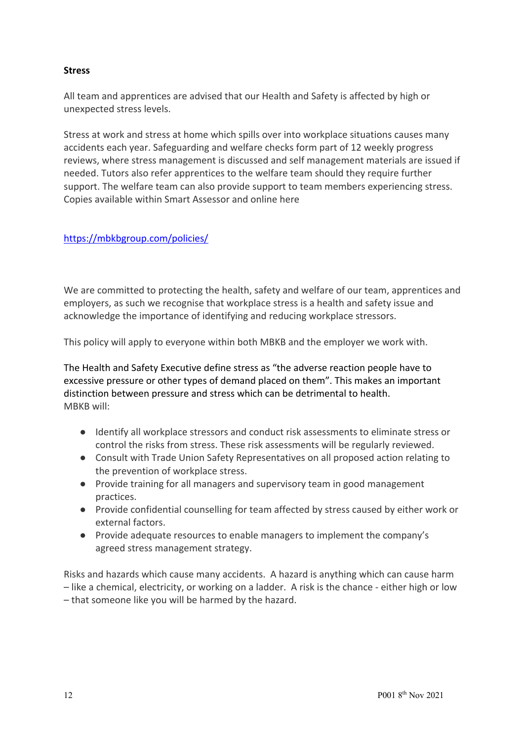## **Stress**

All team and apprentices are advised that our Health and Safety is affected by high or unexpected stress levels.

Stress at work and stress at home which spills over into workplace situations causes many accidents each year. Safeguarding and welfare checks form part of 12 weekly progress reviews, where stress management is discussed and self management materials are issued if needed. Tutors also refer apprentices to the welfare team should they require further support. The welfare team can also provide support to team members experiencing stress. Copies available within Smart Assessor and online here

# https://mbkbgroup.com/policies/

We are committed to protecting the health, safety and welfare of our team, apprentices and employers, as such we recognise that workplace stress is a health and safety issue and acknowledge the importance of identifying and reducing workplace stressors.

This policy will apply to everyone within both MBKB and the employer we work with.

The Health and Safety Executive define stress as "the adverse reaction people have to excessive pressure or other types of demand placed on them". This makes an important distinction between pressure and stress which can be detrimental to health. MBKB will:

- Identify all workplace stressors and conduct risk assessments to eliminate stress or control the risks from stress. These risk assessments will be regularly reviewed.
- Consult with Trade Union Safety Representatives on all proposed action relating to the prevention of workplace stress.
- Provide training for all managers and supervisory team in good management practices.
- Provide confidential counselling for team affected by stress caused by either work or external factors.
- Provide adequate resources to enable managers to implement the company's agreed stress management strategy.

Risks and hazards which cause many accidents. A hazard is anything which can cause harm – like a chemical, electricity, or working on a ladder. A risk is the chance - either high or low – that someone like you will be harmed by the hazard.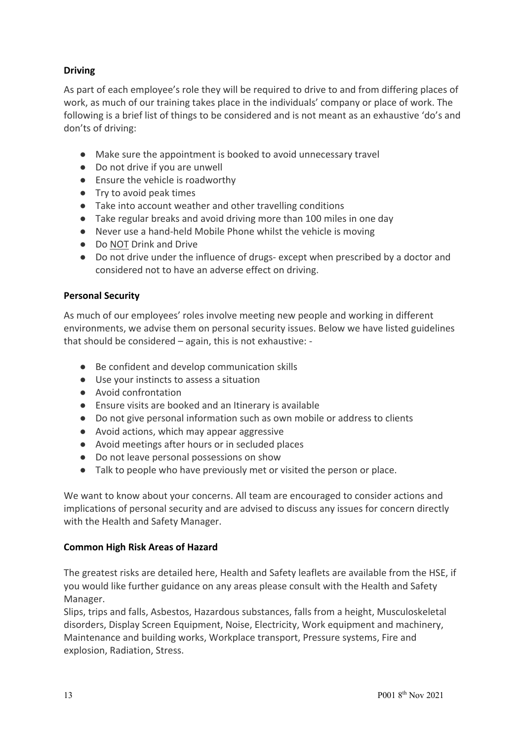# **Driving**

As part of each employee's role they will be required to drive to and from differing places of work, as much of our training takes place in the individuals' company or place of work. The following is a brief list of things to be considered and is not meant as an exhaustive 'do's and don'ts of driving:

- Make sure the appointment is booked to avoid unnecessary travel
- Do not drive if you are unwell
- Ensure the vehicle is roadworthy
- Try to avoid peak times
- Take into account weather and other travelling conditions
- Take regular breaks and avoid driving more than 100 miles in one day
- Never use a hand-held Mobile Phone whilst the vehicle is moving
- Do NOT Drink and Drive
- Do not drive under the influence of drugs- except when prescribed by a doctor and considered not to have an adverse effect on driving.

# **Personal Security**

As much of our employees' roles involve meeting new people and working in different environments, we advise them on personal security issues. Below we have listed guidelines that should be considered – again, this is not exhaustive: -

- Be confident and develop communication skills
- Use your instincts to assess a situation
- Avoid confrontation
- Ensure visits are booked and an Itinerary is available
- Do not give personal information such as own mobile or address to clients
- Avoid actions, which may appear aggressive
- Avoid meetings after hours or in secluded places
- Do not leave personal possessions on show
- Talk to people who have previously met or visited the person or place.

We want to know about your concerns. All team are encouraged to consider actions and implications of personal security and are advised to discuss any issues for concern directly with the Health and Safety Manager.

# **Common High Risk Areas of Hazard**

The greatest risks are detailed here, Health and Safety leaflets are available from the HSE, if you would like further guidance on any areas please consult with the Health and Safety Manager.

Slips, trips and falls, Asbestos, Hazardous substances, falls from a height, Musculoskeletal disorders, Display Screen Equipment, Noise, Electricity, Work equipment and machinery, Maintenance and building works, Workplace transport, Pressure systems, Fire and explosion, Radiation, Stress.